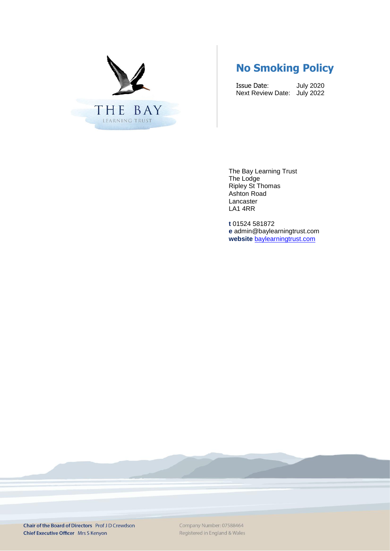

# **No Smoking Policy**

Issue Date: July 2020 Next Review Date: July 2022

The Bay Learning Trust The Lodge Ripley St Thomas Ashton Road Lancaster LA1 4RR

**t** 01524 581872 **e** admin@baylearningtrust.com **website** [baylearningtrust.com](http://www.ripleystthomas.com/)

Chair of the Board of Directors Prof J D Crewdson **Chief Executive Officer** Mrs S Kenyon

Company Number: 07588464 Registered in England & Wales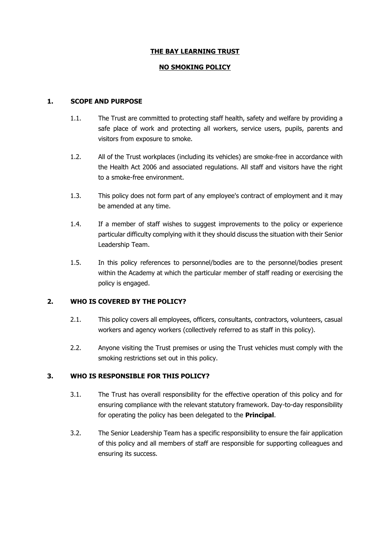# **THE BAY LEARNING TRUST**

## **NO SMOKING POLICY**

## **1. SCOPE AND PURPOSE**

- 1.1. The Trust are committed to protecting staff health, safety and welfare by providing a safe place of work and protecting all workers, service users, pupils, parents and visitors from exposure to smoke.
- 1.2. All of the Trust workplaces (including its vehicles) are smoke-free in accordance with the Health Act 2006 and associated regulations. All staff and visitors have the right to a smoke-free environment.
- 1.3. This policy does not form part of any employee's contract of employment and it may be amended at any time.
- 1.4. If a member of staff wishes to suggest improvements to the policy or experience particular difficulty complying with it they should discuss the situation with their Senior Leadership Team.
- 1.5. In this policy references to personnel/bodies are to the personnel/bodies present within the Academy at which the particular member of staff reading or exercising the policy is engaged.

#### **2. WHO IS COVERED BY THE POLICY?**

- 2.1. This policy covers all employees, officers, consultants, contractors, volunteers, casual workers and agency workers (collectively referred to as staff in this policy).
- 2.2. Anyone visiting the Trust premises or using the Trust vehicles must comply with the smoking restrictions set out in this policy.

# **3. WHO IS RESPONSIBLE FOR THIS POLICY?**

- 3.1. The Trust has overall responsibility for the effective operation of this policy and for ensuring compliance with the relevant statutory framework. Day-to-day responsibility for operating the policy has been delegated to the **Principal**.
- 3.2. The Senior Leadership Team has a specific responsibility to ensure the fair application of this policy and all members of staff are responsible for supporting colleagues and ensuring its success.